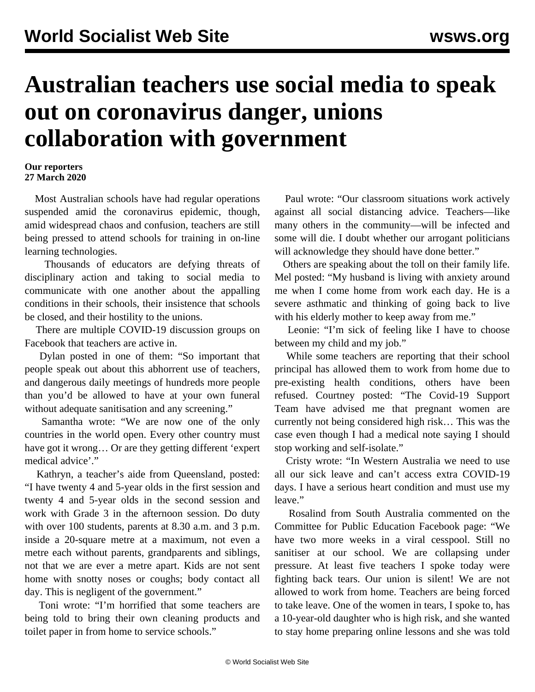## **Australian teachers use social media to speak out on coronavirus danger, unions collaboration with government**

## **Our reporters 27 March 2020**

 Most Australian schools have had regular operations suspended amid the coronavirus epidemic, though, amid widespread chaos and confusion, teachers are still being pressed to attend schools for training in on-line learning technologies.

 Thousands of educators are defying threats of disciplinary action and taking to social media to communicate with one another about the appalling conditions in their schools, their insistence that schools be closed, and their hostility to the unions.

 There are multiple COVID-19 discussion groups on Facebook that teachers are active in.

 Dylan posted in one of them: "So important that people speak out about this abhorrent use of teachers, and dangerous daily meetings of hundreds more people than you'd be allowed to have at your own funeral without adequate sanitisation and any screening."

 Samantha wrote: "We are now one of the only countries in the world open. Every other country must have got it wrong… Or are they getting different 'expert medical advice'."

 Kathryn, a teacher's aide from Queensland, posted: "I have twenty 4 and 5-year olds in the first session and twenty 4 and 5-year olds in the second session and work with Grade 3 in the afternoon session. Do duty with over 100 students, parents at 8.30 a.m. and 3 p.m. inside a 20-square metre at a maximum, not even a metre each without parents, grandparents and siblings, not that we are ever a metre apart. Kids are not sent home with snotty noses or coughs; body contact all day. This is negligent of the government."

 Toni wrote: "I'm horrified that some teachers are being told to bring their own cleaning products and toilet paper in from home to service schools."

 Paul wrote: "Our classroom situations work actively against all social distancing advice. Teachers—like many others in the community—will be infected and some will die. I doubt whether our arrogant politicians will acknowledge they should have done better."

 Others are speaking about the toll on their family life. Mel posted: "My husband is living with anxiety around me when I come home from work each day. He is a severe asthmatic and thinking of going back to live with his elderly mother to keep away from me."

 Leonie: "I'm sick of feeling like I have to choose between my child and my job."

 While some teachers are reporting that their school principal has allowed them to work from home due to pre-existing health conditions, others have been refused. Courtney posted: "The Covid-19 Support Team have advised me that pregnant women are currently not being considered high risk… This was the case even though I had a medical note saying I should stop working and self-isolate."

 Cristy wrote: "In Western Australia we need to use all our sick leave and can't access extra COVID-19 days. I have a serious heart condition and must use my leave."

 Rosalind from South Australia commented on the Committee for Public Education Facebook [page:](https://www.facebook.com/commforpubliceducation/?ref=bookmarks) "We have two more weeks in a viral cesspool. Still no sanitiser at our school. We are collapsing under pressure. At least five teachers I spoke today were fighting back tears. Our union is silent! We are not allowed to work from home. Teachers are being forced to take leave. One of the women in tears, I spoke to, has a 10-year-old daughter who is high risk, and she wanted to stay home preparing online lessons and she was told